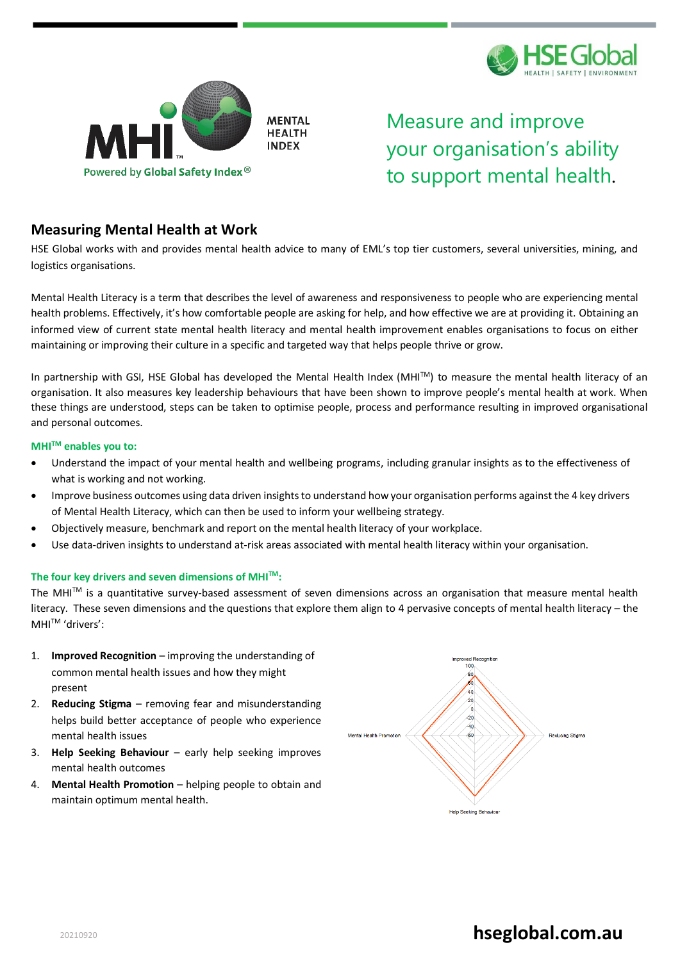



Measure and improve your organisation's ability to support mental health.

### **Measuring Mental Health at Work**

HSE Global works with and provides mental health advice to many of EML's top tier customers, several universities, mining, and logistics organisations.

Mental Health Literacy is a term that describes the level of awareness and responsiveness to people who are experiencing mental health problems. Effectively, it's how comfortable people are asking for help, and how effective we are at providing it. Obtaining an informed view of current state mental health literacy and mental health improvement enables organisations to focus on either maintaining or improving their culture in a specific and targeted way that helps people thrive or grow.

In partnership with GSI, HSE Global has developed the Mental Health Index (MHITM) to measure the mental health literacy of an organisation. It also measures key leadership behaviours that have been shown to improve people's mental health at work. When these things are understood, steps can be taken to optimise people, process and performance resulting in improved organisational and personal outcomes.

#### **MHITM enables you to:**

- Understand the impact of your mental health and wellbeing programs, including granular insights as to the effectiveness of what is working and not working.
- Improve business outcomes using data driven insights to understand how your organisation performs against the 4 key drivers of Mental Health Literacy, which can then be used to inform your wellbeing strategy.
- Objectively measure, benchmark and report on the mental health literacy of your workplace.
- Use data-driven insights to understand at-risk areas associated with mental health literacy within your organisation.

#### **The four key drivers and seven dimensions of MHITM:**

The MHITM is a quantitative survey-based assessment of seven dimensions across an organisation that measure mental health literacy. These seven dimensions and the questions that explore them align to 4 pervasive concepts of mental health literacy – the MHITM 'drivers':

- 1. **Improved Recognition** improving the understanding of common mental health issues and how they might present
- 2. **Reducing Stigma** removing fear and misunderstanding helps build better acceptance of people who experience mental health issues
- 3. **Help Seeking Behaviour** early help seeking improves mental health outcomes
- 4. **Mental Health Promotion** helping people to obtain and maintain optimum mental health.